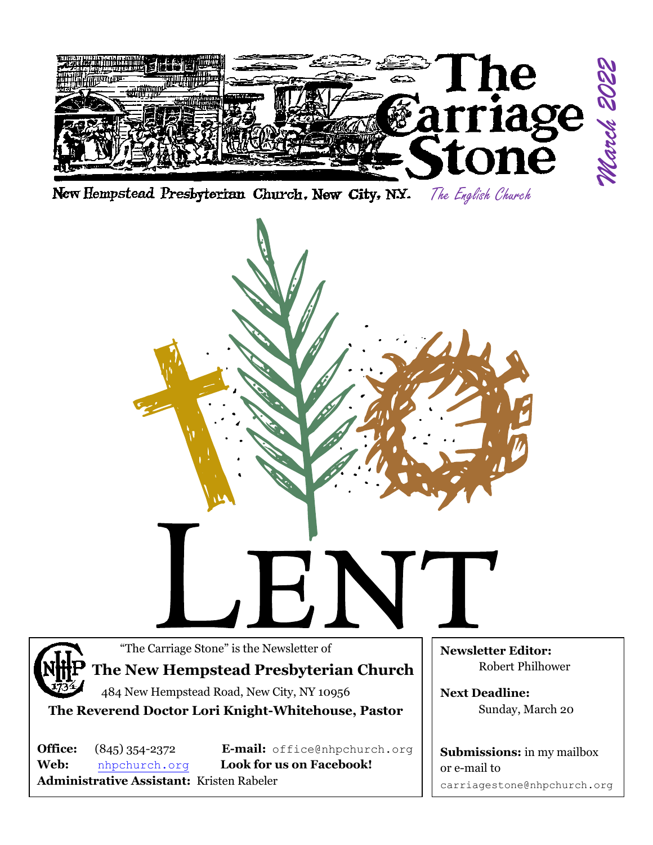

New Hempstead Presbyterian Church, New City, N.Y. The English Church

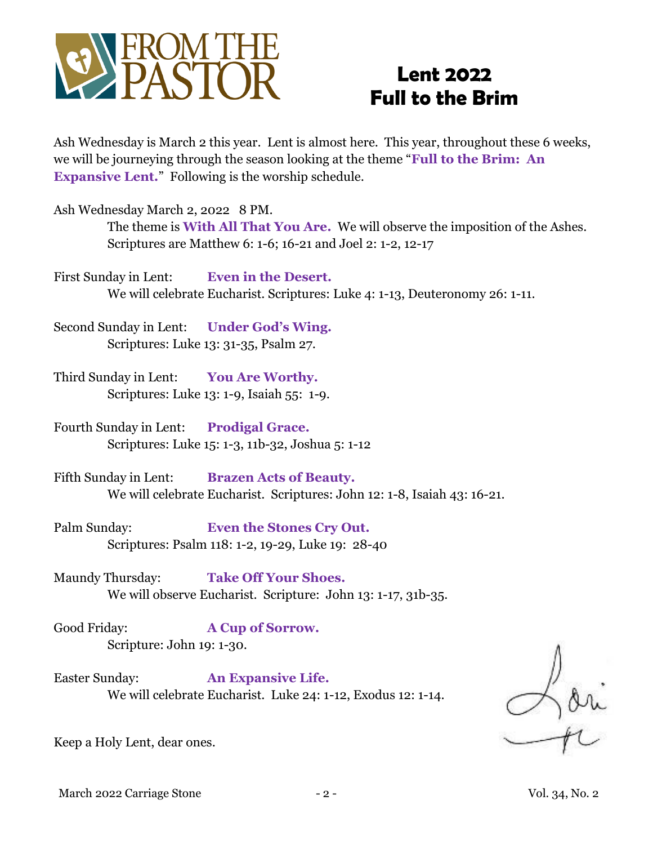

# **Lent 2022 Full to the Brim**

Ash Wednesday is March 2 this year. Lent is almost here. This year, throughout these 6 weeks, we will be journeying through the season looking at the theme "**Full to the Brim: An Expansive Lent.**" Following is the worship schedule.

Ash Wednesday March 2, 2022 8 PM.

The theme is **With All That You Are.** We will observe the imposition of the Ashes. Scriptures are Matthew 6: 1-6; 16-21 and Joel 2: 1-2, 12-17

First Sunday in Lent: **Even in the Desert.** We will celebrate Eucharist. Scriptures: Luke 4: 1-13, Deuteronomy 26: 1-11.

Second Sunday in Lent: **Under God's Wing.**  Scriptures: Luke 13: 31-35, Psalm 27.

Third Sunday in Lent: **You Are Worthy.**  Scriptures: Luke 13: 1-9, Isaiah 55: 1-9.

Fourth Sunday in Lent: **Prodigal Grace.**  Scriptures: Luke 15: 1-3, 11b-32, Joshua 5: 1-12

Fifth Sunday in Lent: **Brazen Acts of Beauty.** We will celebrate Eucharist. Scriptures: John 12: 1-8, Isaiah 43: 16-21.

Palm Sunday: **Even the Stones Cry Out.**  Scriptures: Psalm 118: 1-2, 19-29, Luke 19: 28-40

Maundy Thursday: **Take Off Your Shoes.** We will observe Eucharist. Scripture: John 13: 1-17, 31b-35.

Good Friday: **A Cup of Sorrow.** Scripture: John 19: 1-30.

Easter Sunday: **An Expansive Life.**  We will celebrate Eucharist. Luke 24: 1-12, Exodus 12: 1-14.

Keep a Holy Lent, dear ones.

March 2022 Carriage Stone - 2 - Vol. 34, No. 2